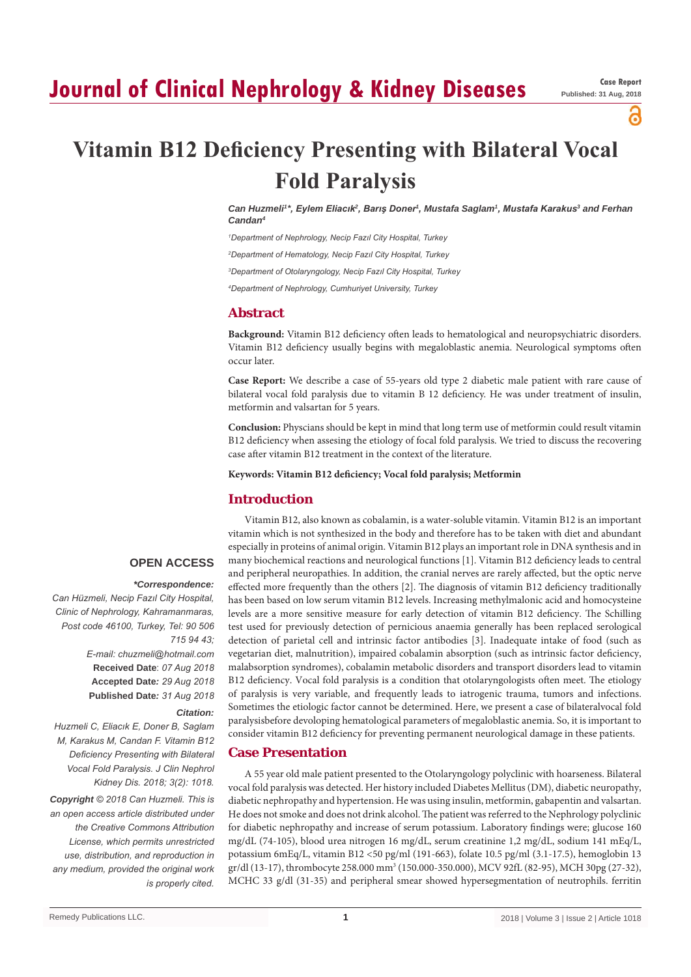# **Journal of Clinical Nephrology & Kidney Diseases**

പ

# **Vitamin B12 Deficiency Presenting with Bilateral Vocal Fold Paralysis**

*Can Huzmeli1 \*, Eylem Eliacık<sup>2</sup> , Barış Doner<sup>1</sup> , Mustafa Saglam1 , Mustafa Karakus<sup>3</sup> and Ferhan Candan4*

*1 Department of Nephrology, Necip Fazıl City Hospital, Turkey*

*2 Department of Hematology, Necip Fazıl City Hospital, Turkey*

*3 Department of Otolaryngology, Necip Fazıl City Hospital, Turkey*

*4 Department of Nephrology, Cumhuriyet University, Turkey*

# **Abstract**

**Background:** Vitamin B12 deficiency often leads to hematological and neuropsychiatric disorders. Vitamin B12 deficiency usually begins with megaloblastic anemia. Neurological symptoms often occur later.

**Case Report:** We describe a case of 55-years old type 2 diabetic male patient with rare cause of bilateral vocal fold paralysis due to vitamin B 12 deficiency. He was under treatment of insulin, metformin and valsartan for 5 years.

**Conclusion:** Physcians should be kept in mind that long term use of metformin could result vitamin B12 deficiency when assesing the etiology of focal fold paralysis. We tried to discuss the recovering case after vitamin B12 treatment in the context of the literature.

**Keywords: Vitamin B12 deficiency; Vocal fold paralysis; Metformin**

### **Introduction**

#### **OPEN ACCESS**

#### *\*Correspondence:*

*Can Hüzmeli, Necip Fazıl City Hospital, Clinic of Nephrology, Kahramanmaras, Post code 46100, Turkey, Tel: 90 506 715 94 43; E-mail: chuzmeli@hotmail.com* **Received Date**: *07 Aug 2018* **Accepted Date***: 29 Aug 2018* **Published Date***: 31 Aug 2018*

#### *Citation:*

*Huzmeli C, Eliacık E, Doner B, Saglam M, Karakus M, Candan F. Vitamin B12 Deficiency Presenting with Bilateral Vocal Fold Paralysis. J Clin Nephrol Kidney Dis. 2018; 3(2): 1018.*

*Copyright © 2018 Can Huzmeli. This is an open access article distributed under the Creative Commons Attribution License, which permits unrestricted use, distribution, and reproduction in any medium, provided the original work is properly cited.*

Vitamin B12, also known as cobalamin, is a water-soluble vitamin. Vitamin B12 is an important vitamin which is not synthesized in the body and therefore has to be taken with diet and abundant especially in proteins of animal origin. Vitamin B12 plays an important role in DNA synthesis and in many biochemical reactions and neurological functions [1]. Vitamin B12 deficiency leads to central and peripheral neuropathies. In addition, the cranial nerves are rarely affected, but the optic nerve effected more frequently than the others [2]. The diagnosis of vitamin B12 deficiency traditionally has been based on low serum vitamin B12 levels. Increasing methylmalonic acid and homocysteine levels are a more sensitive measure for early detection of vitamin B12 deficiency. The Schilling test used for previously detection of pernicious anaemia generally has been replaced serological detection of parietal cell and intrinsic factor antibodies [3]. Inadequate intake of food (such as vegetarian diet, malnutrition), impaired cobalamin absorption (such as intrinsic factor deficiency, malabsorption syndromes), cobalamin metabolic disorders and transport disorders lead to vitamin B12 deficiency. Vocal fold paralysis is a condition that otolaryngologists often meet. The etiology of paralysis is very variable, and frequently leads to iatrogenic trauma, tumors and infections. Sometimes the etiologic factor cannot be determined. Here, we present a case of bilateralvocal fold paralysisbefore devoloping hematological parameters of megaloblastic anemia. So, it is important to consider vitamin B12 deficiency for preventing permanent neurological damage in these patients.

## **Case Presentation**

A 55 year old male patient presented to the Otolaryngology polyclinic with hoarseness. Bilateral vocal fold paralysis was detected. Her history included Diabetes Mellitus (DM), diabetic neuropathy, diabetic nephropathy and hypertension. He was using insulin, metformin, gabapentin and valsartan. He does not smoke and does not drink alcohol. The patient was referred to the Nephrology polyclinic for diabetic nephropathy and increase of serum potassium. Laboratory findings were; glucose 160 mg/dL (74-105), blood urea nitrogen 16 mg/dL, serum creatinine 1,2 mg/dL, sodium 141 mEq/L, potassium 6mEq/L, vitamin B12 <50 pg/ml (191-663), folate 10.5 pg/ml (3.1-17.5), hemoglobin 13 gr/dl (13-17), thrombocyte 258.000 mm<sup>3</sup> (150.000-350.000), MCV 92fL (82-95), MCH 30pg (27-32), MCHC 33 g/dl (31-35) and peripheral smear showed hypersegmentation of neutrophils. ferritin